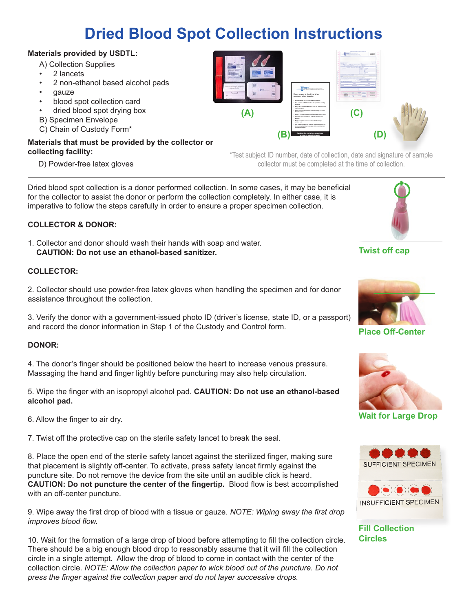# **Dried Blood Spot Collection Instructions**

# **Materials provided by USDTL:**

- A) Collection Supplies
- 2 lancets
- 2 non-ethanol based alcohol pads
- gauze
- blood spot collection card
- dried blood spot drying box
- B) Specimen Envelope
- C) Chain of Custody Form\*

# **Materials that must be provided by the collector or collecting facility:**

D) Powder-free latex gloves

\*Test subject ID number, date of collection, date and signature of sample collector must be completed at the time of collection.

Dried blood spot collection is a donor performed collection. In some cases, it may be beneficial for the collector to assist the donor or perform the collection completely. In either case, it is imperative to follow the steps carefully in order to ensure a proper specimen collection.

# **COLLECTOR & DONOR:**

1. Collector and donor should wash their hands with soap and water. **CAUTION: Do not use an ethanol-based sanitizer.**

#### **COLLECTOR:**

2. Collector should use powder-free latex gloves when handling the specimen and for donor assistance throughout the collection.

3. Verify the donor with a government-issued photo ID (driver's license, state ID, or a passport) and record the donor information in Step 1 of the Custody and Control form.

## **DONOR:**

4. The donor's finger should be positioned below the heart to increase venous pressure. Massaging the hand and finger lightly before puncturing may also help circulation.

5. Wipe the finger with an isopropyl alcohol pad. **CAUTION: Do not use an ethanol-based alcohol pad.** 

6. Allow the finger to air dry.

7. Twist off the protective cap on the sterile safety lancet to break the seal.

8. Place the open end of the sterile safety lancet against the sterilized finger, making sure that placement is slightly off-center. To activate, press safety lancet firmly against the puncture site. Do not remove the device from the site until an audible click is heard. **CAUTION: Do not puncture the center of the fingertip.** Blood flow is best accomplished with an off-center puncture.

9. Wipe away the first drop of blood with a tissue or gauze. *NOTE: Wiping away the first drop improves blood flow.*

10. Wait for the formation of a large drop of blood before attempting to fill the collection circle. There should be a big enough blood drop to reasonably assume that it will fill the collection circle in a single attempt. Allow the drop of blood to come in contact with the center of the collection circle. *NOTE: Allow the collection paper to wick blood out of the puncture. Do not press the finger against the collection paper and do not layer successive drops.* 

**Twist off cap**



**Place Off-Center**



**Wait for Large Drop**



**Fill Collection Circles**